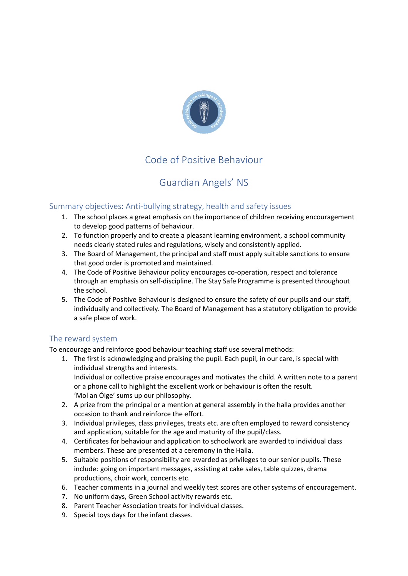

# Code of Positive Behaviour

# Guardian Angels' NS

# Summary objectives: Anti-bullying strategy, health and safety issues

- 1. The school places a great emphasis on the importance of children receiving encouragement to develop good patterns of behaviour.
- 2. To function properly and to create a pleasant learning environment, a school community needs clearly stated rules and regulations, wisely and consistently applied.
- 3. The Board of Management, the principal and staff must apply suitable sanctions to ensure that good order is promoted and maintained.
- 4. The Code of Positive Behaviour policy encourages co-operation, respect and tolerance through an emphasis on self-discipline. The Stay Safe Programme is presented throughout the school.
- 5. The Code of Positive Behaviour is designed to ensure the safety of our pupils and our staff, individually and collectively. The Board of Management has a statutory obligation to provide a safe place of work.

# The reward system

To encourage and reinforce good behaviour teaching staff use several methods:

- 1. The first is acknowledging and praising the pupil. Each pupil, in our care, is special with individual strengths and interests. Individual or collective praise encourages and motivates the child. A written note to a parent or a phone call to highlight the excellent work or behaviour is often the result. 'Mol an Óige' sums up our philosophy.
- 2. A prize from the principal or a mention at general assembly in the halla provides another occasion to thank and reinforce the effort.
- 3. Individual privileges, class privileges, treats etc. are often employed to reward consistency and application, suitable for the age and maturity of the pupil/class.
- 4. Certificates for behaviour and application to schoolwork are awarded to individual class members. These are presented at a ceremony in the Halla.
- 5. Suitable positions of responsibility are awarded as privileges to our senior pupils. These include: going on important messages, assisting at cake sales, table quizzes, drama productions, choir work, concerts etc.
- 6. Teacher comments in a journal and weekly test scores are other systems of encouragement.
- 7. No uniform days, Green School activity rewards etc.
- 8. Parent Teacher Association treats for individual classes.
- 9. Special toys days for the infant classes.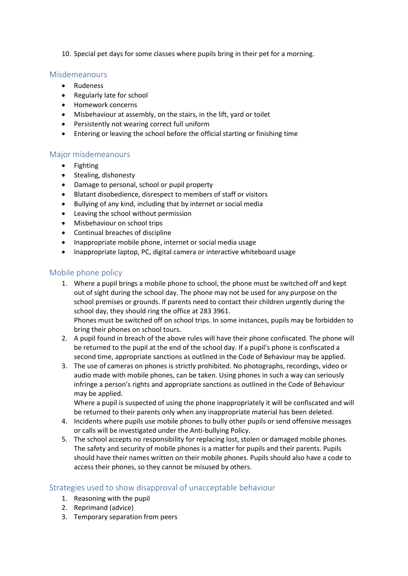10. Special pet days for some classes where pupils bring in their pet for a morning.

## Misdemeanours

- Rudeness
- Regularly late for school
- Homework concerns
- Misbehaviour at assembly, on the stairs, in the lift, yard or toilet
- Persistently not wearing correct full uniform
- Entering or leaving the school before the official starting or finishing time

## Major misdemeanours

- Fighting
- Stealing, dishonesty
- Damage to personal, school or pupil property
- Blatant disobedience, disrespect to members of staff or visitors
- Bullying of any kind, including that by internet or social media
- Leaving the school without permission
- Misbehaviour on school trips
- Continual breaches of discipline
- Inappropriate mobile phone, internet or social media usage
- Inappropriate laptop, PC, digital camera or interactive whiteboard usage

## Mobile phone policy

1. Where a pupil brings a mobile phone to school, the phone must be switched off and kept out of sight during the school day. The phone may not be used for any purpose on the school premises or grounds. If parents need to contact their children urgently during the school day, they should ring the office at 283 3961.

Phones must be switched off on school trips. In some instances, pupils may be forbidden to bring their phones on school tours.

- 2. A pupil found in breach of the above rules will have their phone confiscated. The phone will be returned to the pupil at the end of the school day. If a pupil's phone is confiscated a second time, appropriate sanctions as outlined in the Code of Behaviour may be applied.
- 3. The use of cameras on phones is strictly prohibited. No photographs, recordings, video or audio made with mobile phones, can be taken. Using phones in such a way can seriously infringe a person's rights and appropriate sanctions as outlined in the Code of Behaviour may be applied.

Where a pupil is suspected of using the phone inappropriately it will be confiscated and will be returned to their parents only when any inappropriate material has been deleted.

- 4. Incidents where pupils use mobile phones to bully other pupils or send offensive messages or calls will be investigated under the Anti-bullying Policy.
- 5. The school accepts no responsibility for replacing lost, stolen or damaged mobile phones. The safety and security of mobile phones is a matter for pupils and their parents. Pupils should have their names written on their mobile phones. Pupils should also have a code to access their phones, so they cannot be misused by others.

# Strategies used to show disapproval of unacceptable behaviour

- 1. Reasoning with the pupil
- 2. Reprimand (advice)
- 3. Temporary separation from peers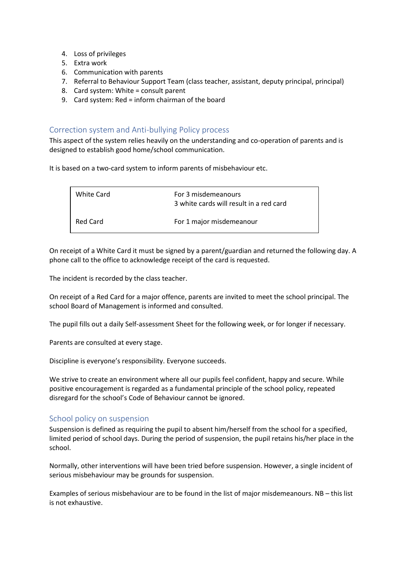- 4. Loss of privileges
- 5. Extra work
- 6. Communication with parents
- 7. Referral to Behaviour Support Team (class teacher, assistant, deputy principal, principal)
- 8. Card system: White = consult parent
- 9. Card system: Red = inform chairman of the board

## Correction system and Anti-bullying Policy process

This aspect of the system relies heavily on the understanding and co-operation of parents and is designed to establish good home/school communication.

It is based on a two-card system to inform parents of misbehaviour etc.

| White Card | For 3 misdemeanours<br>3 white cards will result in a red card |
|------------|----------------------------------------------------------------|
| Red Card   | For 1 major misdemeanour                                       |

On receipt of a White Card it must be signed by a parent/guardian and returned the following day. A phone call to the office to acknowledge receipt of the card is requested.

The incident is recorded by the class teacher.

On receipt of a Red Card for a major offence, parents are invited to meet the school principal. The school Board of Management is informed and consulted.

The pupil fills out a daily Self-assessment Sheet for the following week, or for longer if necessary.

Parents are consulted at every stage.

Discipline is everyone's responsibility. Everyone succeeds.

We strive to create an environment where all our pupils feel confident, happy and secure. While positive encouragement is regarded as a fundamental principle of the school policy, repeated disregard for the school's Code of Behaviour cannot be ignored.

## School policy on suspension

Suspension is defined as requiring the pupil to absent him/herself from the school for a specified, limited period of school days. During the period of suspension, the pupil retains his/her place in the school.

Normally, other interventions will have been tried before suspension. However, a single incident of serious misbehaviour may be grounds for suspension.

Examples of serious misbehaviour are to be found in the list of major misdemeanours. NB – this list is not exhaustive.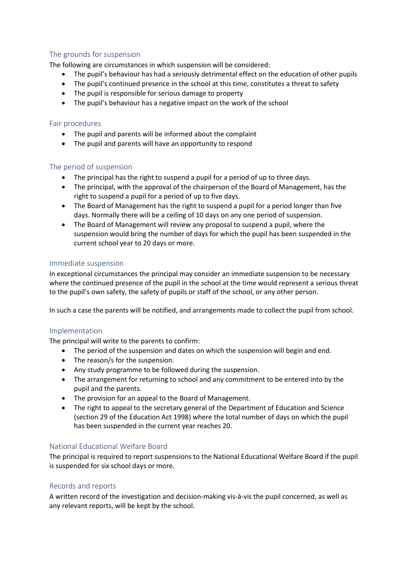# The grounds for suspension

The following are circumstances in which suspension will be considered:

- The pupil's behaviour has had a seriously detrimental effect on the education of other pupils
- The pupil's continued presence in the school at this time, constitutes a threat to safety
- The pupil is responsible for serious damage to property
- The pupil's behaviour has a negative impact on the work of the school

#### Fair procedures

- The pupil and parents will be informed about the complaint
- The pupil and parents will have an opportunity to respond

#### The period of suspension

- The principal has the right to suspend a pupil for a period of up to three days.
- The principal, with the approval of the chairperson of the Board of Management, has the right to suspend a pupil for a period of up to five days.
- The Board of Management has the right to suspend a pupil for a period longer than five days. Normally there will be a ceiling of 10 days on any one period of suspension.
- The Board of Management will review any proposal to suspend a pupil, where the suspension would bring the number of days for which the pupil has been suspended in the current school year to 20 days or more.

#### Immediate suspension

In exceptional circumstances the principal may consider an immediate suspension to be necessary where the continued presence of the pupil in the school at the time would represent a serious threat to the pupil's own safety, the safety of pupils or staff of the school, or any other person.

In such a case the parents will be notified, and arrangements made to collect the pupil from school.

#### Implementation

The principal will write to the parents to confirm:

- The period of the suspension and dates on which the suspension will begin and end.
- The reason/s for the suspension.
- Any study programme to be followed during the suspension.
- The arrangement for returning to school and any commitment to be entered into by the pupil and the parents.
- The provision for an appeal to the Board of Management.
- The right to appeal to the secretary general of the Department of Education and Science (section 29 of the Education Act 1998) where the total number of days on which the pupil has been suspended in the current year reaches 20.

## National Educational Welfare Board

The principal is required to report suspensions to the National Educational Welfare Board if the pupil is suspended for six school days or more.

## Records and reports

A written record of the investigation and decision-making vis-à-vis the pupil concerned, as well as any relevant reports, will be kept by the school.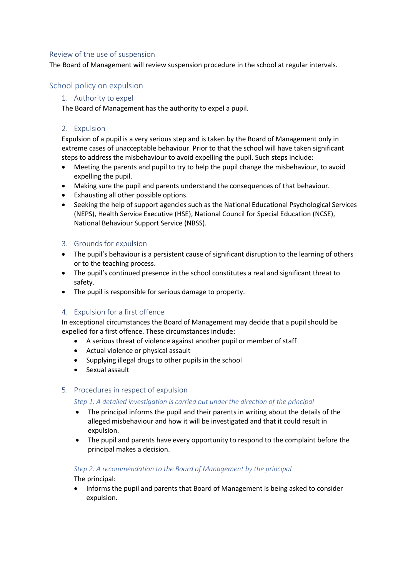#### Review of the use of suspension

The Board of Management will review suspension procedure in the school at regular intervals.

# School policy on expulsion

## 1. Authority to expel

The Board of Management has the authority to expel a pupil.

### 2. Expulsion

Expulsion of a pupil is a very serious step and is taken by the Board of Management only in extreme cases of unacceptable behaviour. Prior to that the school will have taken significant steps to address the misbehaviour to avoid expelling the pupil. Such steps include:

- Meeting the parents and pupil to try to help the pupil change the misbehaviour, to avoid expelling the pupil.
- Making sure the pupil and parents understand the consequences of that behaviour.
- Exhausting all other possible options.
- Seeking the help of support agencies such as the National Educational Psychological Services (NEPS), Health Service Executive (HSE), National Council for Special Education (NCSE), National Behaviour Support Service (NBSS).

#### 3. Grounds for expulsion

- The pupil's behaviour is a persistent cause of significant disruption to the learning of others or to the teaching process.
- The pupil's continued presence in the school constitutes a real and significant threat to safety.
- The pupil is responsible for serious damage to property.

## 4. Expulsion for a first offence

In exceptional circumstances the Board of Management may decide that a pupil should be expelled for a first offence. These circumstances include:

- A serious threat of violence against another pupil or member of staff
- Actual violence or physical assault
- Supplying illegal drugs to other pupils in the school
- Sexual assault

#### 5. Procedures in respect of expulsion

#### *Step 1: A detailed investigation is carried out under the direction of the principal*

- The principal informs the pupil and their parents in writing about the details of the alleged misbehaviour and how it will be investigated and that it could result in expulsion.
- The pupil and parents have every opportunity to respond to the complaint before the principal makes a decision.

#### *Step 2: A recommendation to the Board of Management by the principal*

The principal:

• Informs the pupil and parents that Board of Management is being asked to consider expulsion.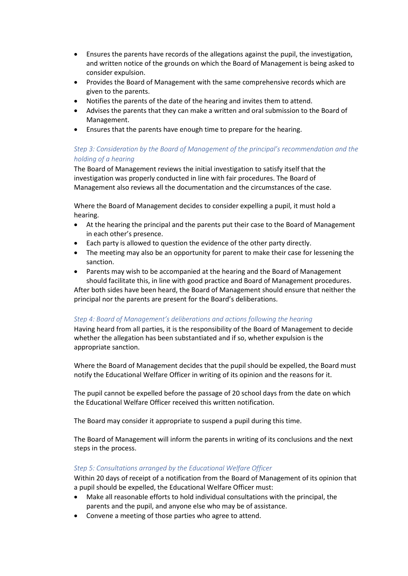- Ensures the parents have records of the allegations against the pupil, the investigation, and written notice of the grounds on which the Board of Management is being asked to consider expulsion.
- Provides the Board of Management with the same comprehensive records which are given to the parents.
- Notifies the parents of the date of the hearing and invites them to attend.
- Advises the parents that they can make a written and oral submission to the Board of Management.
- Ensures that the parents have enough time to prepare for the hearing.

# *Step 3: Consideration by the Board of Management of the principal's recommendation and the holding of a hearing*

The Board of Management reviews the initial investigation to satisfy itself that the investigation was properly conducted in line with fair procedures. The Board of Management also reviews all the documentation and the circumstances of the case.

Where the Board of Management decides to consider expelling a pupil, it must hold a hearing.

- At the hearing the principal and the parents put their case to the Board of Management in each other's presence.
- Each party is allowed to question the evidence of the other party directly.
- The meeting may also be an opportunity for parent to make their case for lessening the sanction.
- Parents may wish to be accompanied at the hearing and the Board of Management

should facilitate this, in line with good practice and Board of Management procedures. After both sides have been heard, the Board of Management should ensure that neither the principal nor the parents are present for the Board's deliberations.

#### *Step 4: Board of Management's deliberations and actions following the hearing*

Having heard from all parties, it is the responsibility of the Board of Management to decide whether the allegation has been substantiated and if so, whether expulsion is the appropriate sanction.

Where the Board of Management decides that the pupil should be expelled, the Board must notify the Educational Welfare Officer in writing of its opinion and the reasons for it.

The pupil cannot be expelled before the passage of 20 school days from the date on which the Educational Welfare Officer received this written notification.

The Board may consider it appropriate to suspend a pupil during this time.

The Board of Management will inform the parents in writing of its conclusions and the next steps in the process.

#### *Step 5: Consultations arranged by the Educational Welfare Officer*

Within 20 days of receipt of a notification from the Board of Management of its opinion that a pupil should be expelled, the Educational Welfare Officer must:

- Make all reasonable efforts to hold individual consultations with the principal, the parents and the pupil, and anyone else who may be of assistance.
- Convene a meeting of those parties who agree to attend.